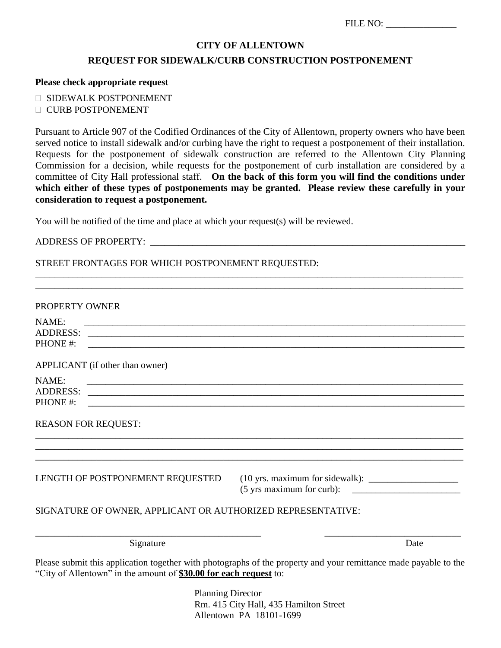| FILE NO: |  |
|----------|--|
|          |  |

#### **CITY OF ALLENTOWN**

### **REQUEST FOR SIDEWALK/CURB CONSTRUCTION POSTPONEMENT**

#### **Please check appropriate request**

- SIDEWALK POSTPONEMENT
- **CURB POSTPONEMENT**

Pursuant to Article 907 of the Codified Ordinances of the City of Allentown, property owners who have been served notice to install sidewalk and/or curbing have the right to request a postponement of their installation. Requests for the postponement of sidewalk construction are referred to the Allentown City Planning Commission for a decision, while requests for the postponement of curb installation are considered by a committee of City Hall professional staff. **On the back of this form you will find the conditions under**  which either of these types of postponements may be granted. Please review these carefully in your **consideration to request a postponement.** 

\_\_\_\_\_\_\_\_\_\_\_\_\_\_\_\_\_\_\_\_\_\_\_\_\_\_\_\_\_\_\_\_\_\_\_\_\_\_\_\_\_\_\_\_\_\_\_\_\_\_\_\_\_\_\_\_\_\_\_\_\_\_\_\_\_\_\_\_\_\_\_\_\_\_\_\_\_\_\_\_\_\_\_\_\_\_\_\_\_\_\_ \_\_\_\_\_\_\_\_\_\_\_\_\_\_\_\_\_\_\_\_\_\_\_\_\_\_\_\_\_\_\_\_\_\_\_\_\_\_\_\_\_\_\_\_\_\_\_\_\_\_\_\_\_\_\_\_\_\_\_\_\_\_\_\_\_\_\_\_\_\_\_\_\_\_\_\_\_\_\_\_\_\_\_\_\_\_\_\_\_\_\_

You will be notified of the time and place at which your request(s) will be reviewed.

#### ADDRESS OF PROPERTY: \_\_\_\_\_\_\_\_\_\_\_\_\_\_\_\_\_\_\_\_\_\_\_\_\_\_\_\_\_\_\_\_\_\_\_\_\_\_\_\_\_\_\_\_\_\_\_\_\_\_\_\_\_\_\_\_\_\_\_\_\_\_\_\_\_\_\_

### STREET FRONTAGES FOR WHICH POSTPONEMENT REQUESTED:

| PROPERTY OWNER               |                                                                                                                                                                                       |      |
|------------------------------|---------------------------------------------------------------------------------------------------------------------------------------------------------------------------------------|------|
| NAME:<br>PHONE#:             |                                                                                                                                                                                       |      |
|                              | APPLICANT (if other than owner)                                                                                                                                                       |      |
| NAME:<br>ADDRESS:<br>PHONE#: | <u> 1999 - Jan James Barnett, mars and de la provincia de la provincia de la provincia de la provincia de la pro</u>                                                                  |      |
|                              | <b>REASON FOR REQUEST:</b>                                                                                                                                                            |      |
|                              | LENGTH OF POSTPONEMENT REQUESTED                                                                                                                                                      |      |
|                              | SIGNATURE OF OWNER, APPLICANT OR AUTHORIZED REPRESENTATIVE:                                                                                                                           |      |
|                              | Signature                                                                                                                                                                             | Date |
|                              | Please submit this application together with photographs of the property and your remittance made payable to the<br>"City of Allentown" in the amount of \$30.00 for each request to: |      |

 Planning Director Rm. 415 City Hall, 435 Hamilton Street Allentown PA 18101-1699